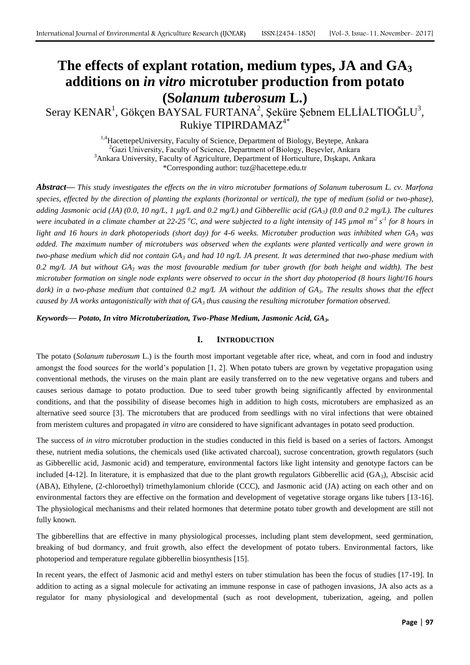# **The effects of explant rotation, medium types, JA and GA<sup>3</sup> additions on** *in vitro* **microtuber production from potato (S***olanum tuberosum* **L.)**

# Seray KENAR<sup>1</sup>, Gökçen BAYSAL FURTANA<sup>2</sup>, Şeküre Şebnem ELLİALTIOĞLU<sup>3</sup>, Rukiye TIPIRDAMAZ4\*

<sup>1,4</sup>HacettepeUniversity, Faculty of Science, Department of Biology, Beytepe, Ankara  ${}^{2}$ Gazi University, Faculty of Science, Department of Biology, Beşevler, Ankara <sup>3</sup>Ankara University, Faculty of Agriculture, Department of Horticulture, Dışkapı, Ankara \*Corresponding author: tuz@hacettepe.edu.tr

*Abstract***—** *This study investigates the effects on the in vitro microtuber formations of Solanum tuberosum L. cv. Marfona species, effected by the direction of planting the explants (horizontal or vertical), the type of medium (solid or two-phase), adding Jasmonic acid (JA) (0.0, 10 ng/L, 1 µg/L and 0.2 mg/L) and Gibberellic acid (GA3) (0.0 and 0.2 mg/L). The cultures were incubated in a climate chamber at 22-25 °C, and were subjected to a light intensity of 145 µmol m<sup>-2</sup> s<sup>-1</sup> for 8 hours in light and 16 hours in dark photoperiods (short day) for 4-6 weeks. Microtuber production was inhibited when GA<sup>3</sup> was added. The maximum number of microtubers was observed when the explants were planted vertically and were grown in two-phase medium which did not contain GA<sup>3</sup> and had 10 ng/L JA present. It was determined that two-phase medium with 0.2 mg/L JA but without GA<sup>3</sup> was the most favourable medium for tuber growth (for both height and width). The best microtuber formation on single node explants were observed to occur in the short day photoperiod (8 hours light/16 hours dark) in a two-phase medium that contained 0.2 mg/L JA without the addition of GA3. The results shows that the effect caused by JA works antagonistically with that of GA<sup>3</sup> thus causing the resulting microtuber formation observed.*

*Keywords***—** *Potato, In vitro Microtuberization, Two-Phase Medium, Jasmonic Acid, GA3.*

## **I. INTRODUCTION**

The potato (*Solanum tuberosum* L.) is the fourth most important vegetable after rice, wheat, and corn in food and industry amongst the food sources for the world's population [1, 2]. When potato tubers are grown by vegetative propagation using conventional methods, the viruses on the main plant are easily transferred on to the new vegetative organs and tubers and causes serious damage to potato production. Due to seed tuber growth being significantly affected by environmental conditions, and that the possibility of disease becomes high in addition to high costs, microtubers are emphasized as an alternative seed source [3]. The microtubers that are produced from seedlings with no viral infections that were obtained from meristem cultures and propagated *in vitro* are considered to have significant advantages in potato seed production.

The success of *in vitro* microtuber production in the studies conducted in this field is based on a series of factors. Amongst these, nutrient media solutions, the chemicals used (like activated charcoal), sucrose concentration, growth regulators (such as Gibberellic acid, Jasmonic acid) and temperature, environmental factors like light intensity and genotype factors can be included [4-12]. In literature, it is emphasized that due to the plant growth regulators Gibberellic acid  $(GA<sub>3</sub>)$ , Abscisic acid (ABA), Ethylene, (2-chloroethyl) trimethylamonium chloride (CCC), and Jasmonic acid (JA) acting on each other and on environmental factors they are effective on the formation and development of vegetative storage organs like tubers [13-16]. The physiological mechanisms and their related hormones that determine potato tuber growth and development are still not fully known.

The gibberellins that are effective in many physiological processes, including plant stem development, seed germination, breaking of bud dormancy, and fruit growth, also effect the development of potato tubers. Environmental factors, like photoperiod and temperature regulate gibberellin biosynthesis [15].

In recent years, the effect of Jasmonic acid and methyl esters on tuber stimulation has been the focus of studies [17-19]. In addition to acting as a signal molecule for activating an immune response in case of pathogen invasions, JA also acts as a regulator for many physiological and developmental (such as root development, tuberization, ageing, and pollen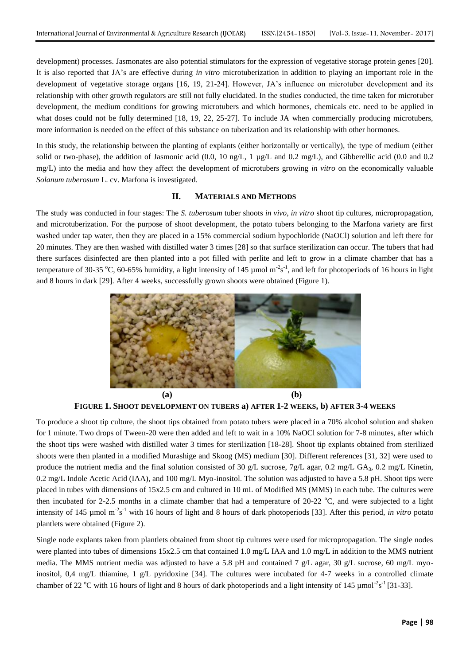development) processes. Jasmonates are also potential stimulators for the expression of vegetative storage protein genes [20]. It is also reported that JA's are effective during *in vitro* microtuberization in addition to playing an important role in the development of vegetative storage organs [16, 19, 21-24]. However, JA's influence on microtuber development and its relationship with other growth regulators are still not fully elucidated. In the studies conducted, the time taken for microtuber development, the medium conditions for growing microtubers and which hormones, chemicals etc. need to be applied in what doses could not be fully determined [18, 19, 22, 25-27]. To include JA when commercially producing microtubers, more information is needed on the effect of this substance on tuberization and its relationship with other hormones.

In this study, the relationship between the planting of explants (either horizontally or vertically), the type of medium (either solid or two-phase), the addition of Jasmonic acid  $(0.0, 10 \text{ ng/L}, 1 \text{ µg/L}$  and  $0.2 \text{ mg/L}$ ), and Gibberellic acid  $(0.0 \text{ and } 0.2 \text{ mg/L})$ mg/L) into the media and how they affect the development of microtubers growing *in vitro* on the economically valuable *Solanum tuberosum* L. cv. Marfona is investigated.

#### **II. MATERIALS AND METHODS**

The study was conducted in four stages: The *S. tuberosum* tuber shoots *in vivo, in vitro* shoot tip cultures, micropropagation, and microtuberization. For the purpose of shoot development, the potato tubers belonging to the Marfona variety are first washed under tap water, then they are placed in a 15% commercial sodium hypochloride (NaOCl) solution and left there for 20 minutes. They are then washed with distilled water 3 times [28] so that surface sterilization can occur. The tubers that had there surfaces disinfected are then planted into a pot filled with perlite and left to grow in a climate chamber that has a temperature of 30-35 °C, 60-65% humidity, a light intensity of 145  $\mu$ mol m<sup>-2</sup>s<sup>-1</sup>, and left for photoperiods of 16 hours in light and 8 hours in dark [29]. After 4 weeks, successfully grown shoots were obtained (Figure 1).



**FIGURE 1. SHOOT DEVELOPMENT ON TUBERS a) AFTER 1-2 WEEKS, b) AFTER 3-4 WEEKS**

To produce a shoot tip culture, the shoot tips obtained from potato tubers were placed in a 70% alcohol solution and shaken for 1 minute. Two drops of Tween-20 were then added and left to wait in a 10% NaOCl solution for 7-8 minutes, after which the shoot tips were washed with distilled water 3 times for sterilization [18-28]. Shoot tip explants obtained from sterilized shoots were then planted in a modified Murashige and Skoog (MS) medium [30]. Different references [31, 32] were used to produce the nutrient media and the final solution consisted of 30 g/L sucrose, 7g/L agar, 0.2 mg/L GA<sub>3</sub>, 0.2 mg/L Kinetin, 0.2 mg/L Indole Acetic Acid (IAA), and 100 mg/L Myo-inositol. The solution was adjusted to have a 5.8 pH. Shoot tips were placed in tubes with dimensions of 15x2.5 cm and cultured in 10 mL of Modified MS (MMS) in each tube. The cultures were then incubated for 2-2.5 months in a climate chamber that had a temperature of 20-22  $^{\circ}$ C, and were subjected to a light intensity of 145 µmol m<sup>-2</sup>s<sup>-1</sup> with 16 hours of light and 8 hours of dark photoperiods [33]. After this period, *in vitro* potato plantlets were obtained (Figure 2).

Single node explants taken from plantlets obtained from shoot tip cultures were used for micropropagation. The single nodes were planted into tubes of dimensions 15x2.5 cm that contained 1.0 mg/L IAA and 1.0 mg/L in addition to the MMS nutrient media. The MMS nutrient media was adjusted to have a 5.8 pH and contained 7 g/L agar, 30 g/L sucrose, 60 mg/L myoinositol, 0,4 mg/L thiamine, 1 g/L pyridoxine [34]. The cultures were incubated for 4-7 weeks in a controlled climate chamber of 22  $^{\circ}$ C with 16 hours of light and 8 hours of dark photoperiods and a light intensity of 145  $\mu$ mol<sup>-2</sup>s<sup>-1</sup> [31-33].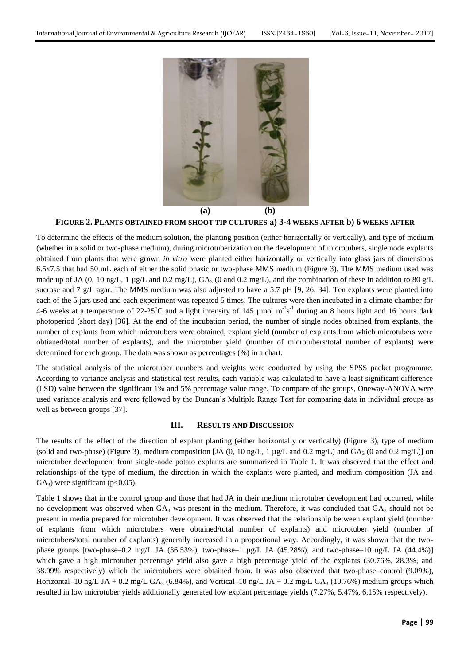

#### **FIGURE 2. PLANTS OBTAINED FROM SHOOT TIP CULTURES a) 3-4 WEEKS AFTER b) 6 WEEKS AFTER**

To determine the effects of the medium solution, the planting position (either horizontally or vertically), and type of medium (whether in a solid or two-phase medium), during microtuberization on the development of microtubers, single node explants obtained from plants that were grown *in vitro* were planted either horizontally or vertically into glass jars of dimensions 6.5x7.5 that had 50 mL each of either the solid phasic or two-phase MMS medium (Figure 3). The MMS medium used was made up of JA (0, 10 ng/L, 1 µg/L and 0.2 mg/L),  $GA_3$  (0 and 0.2 mg/L), and the combination of these in addition to 80 g/L sucrose and 7 g/L agar. The MMS medium was also adjusted to have a 5.7 pH [9, 26, 34]. Ten explants were planted into each of the 5 jars used and each experiment was repeated 5 times. The cultures were then incubated in a climate chamber for 4-6 weeks at a temperature of 22-25<sup>o</sup>C and a light intensity of 145 µmol  $m^2s^{-1}$  during an 8 hours light and 16 hours dark photoperiod (short day) [36]. At the end of the incubation period, the number of single nodes obtained from explants, the number of explants from which microtubers were obtained, explant yield (number of explants from which microtubers were obtianed/total number of explants), and the microtuber yield (number of microtubers/total number of explants) were determined for each group. The data was shown as percentages (%) in a chart.

The statistical analysis of the microtuber numbers and weights were conducted by using the SPSS packet programme. According to variance analysis and statistical test results, each variable was calculated to have a least significant difference (LSD) value between the significant 1% and 5% percentage value range. To compare of the groups, Oneway-ANOVA were used variance analysis and were followed by the Duncan's Multiple Range Test for comparing data in individual groups as well as between groups [37].

#### **III. RESULTS AND DISCUSSION**

The results of the effect of the direction of explant planting (either horizontally or vertically) (Figure 3), type of medium (solid and two-phase) (Figure 3), medium composition [JA (0, 10 ng/L, 1 µg/L and 0.2 mg/L) and  $GA_3$  (0 and 0.2 mg/L)] on microtuber development from single-node potato explants are summarized in Table 1. It was observed that the effect and relationships of the type of medium, the direction in which the explants were planted, and medium composition (JA and  $GA_3$ ) were significant (p<0.05).

Table 1 shows that in the control group and those that had JA in their medium microtuber development had occurred, while no development was observed when  $GA_3$  was present in the medium. Therefore, it was concluded that  $GA_3$  should not be present in media prepared for microtuber development. It was observed that the relationship between explant yield (number of explants from which microtubers were obtained/total number of explants) and microtuber yield (number of microtubers/total number of explants) generally increased in a proportional way. Accordingly, it was shown that the twophase groups [two-phase–0.2 mg/L JA (36.53%), two-phase–1 µg/L JA (45.28%), and two-phase–10 ng/L JA (44.4%)] which gave a high microtuber percentage yield also gave a high percentage yield of the explants (30.76%, 28.3%, and 38.09% respectively) which the microtubers were obtained from. It was also observed that two-phase–control (9.09%), Horizontal–10 ng/L JA + 0.2 mg/L GA<sub>3</sub> (6.84%), and Vertical–10 ng/L JA + 0.2 mg/L GA<sub>3</sub> (10.76%) medium groups which resulted in low microtuber yields additionally generated low explant percentage yields (7.27%, 5.47%, 6.15% respectively).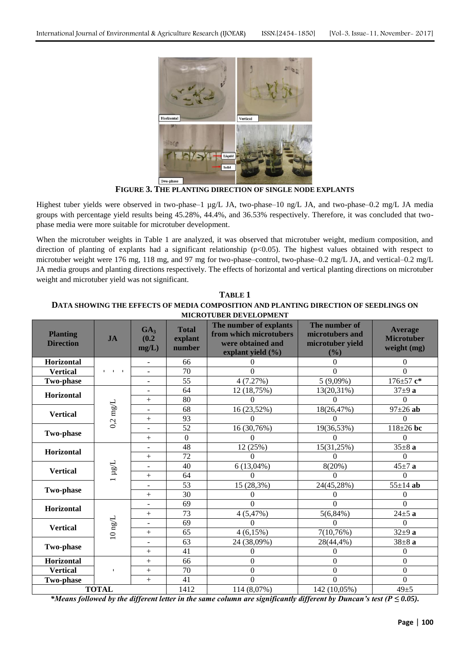

**FIGURE 3. THE PLANTING DIRECTION OF SINGLE NODE EXPLANTS**

Highest tuber yields were observed in two-phase-1 µg/L JA, two-phase-10 ng/L JA, and two-phase-0.2 mg/L JA media groups with percentage yield results being 45.28%, 44.4%, and 36.53% respectively. Therefore, it was concluded that twophase media were more suitable for microtuber development.

When the microtuber weights in Table 1 are analyzed, it was observed that microtuber weight, medium composition, and direction of planting of explants had a significant relationship (p<0.05). The highest values obtained with respect to microtuber weight were 176 mg, 118 mg, and 97 mg for two-phase–control, two-phase–0.2 mg/L JA, and vertical–0.2 mg/L JA media groups and planting directions respectively. The effects of horizontal and vertical planting directions on microtuber weight and microtuber yield was not significant.

| <b>Planting</b><br><b>Direction</b> | IA                 | GA <sub>3</sub><br>(0.2)<br>mg/L) | <b>Total</b><br>explant<br>number | MICROTUBER DEVELOPMENT<br>The number of explants<br>from which microtubers<br>were obtained and | The number of<br>microtubers and<br>microtuber yield | <b>Average</b><br><b>Microtuber</b><br>weight (mg) |
|-------------------------------------|--------------------|-----------------------------------|-----------------------------------|-------------------------------------------------------------------------------------------------|------------------------------------------------------|----------------------------------------------------|
|                                     |                    |                                   |                                   | explant yield $(\% )$                                                                           | (%)                                                  |                                                    |
| Horizontal                          |                    | $\overline{a}$                    | 66                                | $\Omega$                                                                                        | $\theta$                                             | $\theta$                                           |
| <b>Vertical</b>                     |                    | $\overline{a}$                    | 70                                | $\Omega$                                                                                        | $\Omega$                                             | $\Omega$                                           |
| <b>Two-phase</b>                    |                    | $\overline{a}$                    | 55                                | 4(7.27%)                                                                                        | $5(9,09\%)$                                          | $176 \pm 57$ $c^*$                                 |
| Horizontal                          | $0.2 \text{ mg/L}$ | $\overline{\phantom{a}}$          | 64                                | 12 (18,75%)                                                                                     | 13(20,31%)                                           | $37+9a$                                            |
|                                     |                    | $^{+}$                            | 80                                |                                                                                                 |                                                      | $\Omega$                                           |
| <b>Vertical</b>                     |                    | $\blacksquare$                    | 68                                | 16 (23,52%)                                                                                     | 18(26,47%)                                           | $97 \pm 26$ ab                                     |
|                                     |                    | $^{+}$                            | 93                                | $\Omega$                                                                                        | $\Omega$                                             | $\theta$                                           |
| <b>Two-phase</b>                    |                    | $\overline{a}$                    | 52                                | 16 (30,76%)                                                                                     | 19(36,53%)                                           | $118 \pm 26$ bc                                    |
|                                     |                    | $^{+}$                            | $\mathbf{0}$                      | 0                                                                                               | $\Omega$                                             | $\Omega$                                           |
| Horizontal                          | $\mu$ g/L          | $\overline{\phantom{a}}$          | 48                                | 12 (25%)                                                                                        | 15(31,25%)                                           | $35\pm8a$                                          |
|                                     |                    | $^{+}$                            | 72                                | $\Omega$                                                                                        | 0                                                    | $\theta$                                           |
| <b>Vertical</b>                     |                    | $\overline{a}$                    | 40                                | $6(13,04\%)$                                                                                    | 8(20%)                                               | $45 \pm 7$ a                                       |
|                                     |                    | $^{+}$                            | 64                                | $\Omega$                                                                                        | $\Omega$                                             | $\Omega$                                           |
| <b>Two-phase</b>                    |                    | $\overline{a}$                    | 53                                | 15 (28,3%)                                                                                      | 24(45,28%)                                           | $55 \pm 14$ ab                                     |
|                                     |                    | $^{+}$                            | 30                                | $\theta$                                                                                        | 0                                                    | $\overline{0}$                                     |
| Horizontal                          | $10 \text{ ng/L}$  | $\overline{\phantom{a}}$          | 69                                | $\Omega$                                                                                        | $\Omega$                                             | $\Omega$                                           |
|                                     |                    | $^{+}$                            | 73                                | 4(5,47%)                                                                                        | $5(6,84\%)$                                          | $24 \pm 5$ a                                       |
| <b>Vertical</b>                     |                    | $\overline{a}$                    | 69                                | $\Omega$                                                                                        | $\Omega$                                             | $\mathbf{0}$                                       |
|                                     |                    | $^{+}$                            | 65                                | $4(6,15\%)$                                                                                     | 7(10,76%)                                            | $32\pm9$ a                                         |
| Two-phase                           |                    | $\overline{\phantom{a}}$          | 63                                | 24 (38,09%)                                                                                     | 28(44,4%)                                            | $38\pm8$ a                                         |
|                                     |                    | $^{+}$                            | 41                                | $\Omega$                                                                                        | $\theta$                                             | $\overline{0}$                                     |
| <b>Horizontal</b>                   |                    | $^{+}$                            | 66                                | $\boldsymbol{0}$                                                                                | $\overline{0}$                                       | $\boldsymbol{0}$                                   |
| <b>Vertical</b>                     |                    | $^{+}$                            | 70                                | $\mathbf{0}$                                                                                    | $\boldsymbol{0}$                                     | $\mathbf{0}$                                       |
| Two-phase                           |                    | $+$                               | 41                                | $\theta$                                                                                        | $\Omega$                                             | $\overline{0}$                                     |
| <b>TOTAL</b>                        |                    |                                   | 1412                              | 114 (8,07%)                                                                                     | 142 (10,05%)                                         | $49\pm 5$                                          |

**TABLE 1 DATA SHOWING THE EFFECTS OF MEDIA COMPOSITION AND PLANTING DIRECTION OF SEEDLINGS ON MICROTUBER DEVELOPMENT**

*\*Means followed by the different letter in the same column are significantly different by Duncan's test (P ≤ 0.05).*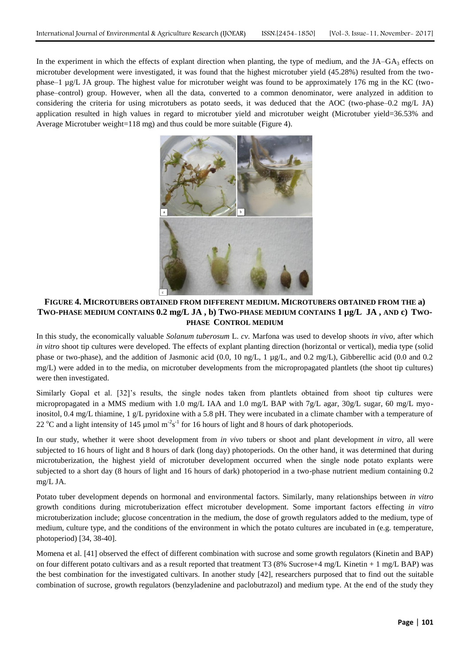In the experiment in which the effects of explant direction when planting, the type of medium, and the  $JA-GA<sub>3</sub>$  effects on microtuber development were investigated, it was found that the highest microtuber yield (45.28%) resulted from the twophase–1 µg/L JA group. The highest value for microtuber weight was found to be approximately 176 mg in the KC (twophase–control) group. However, when all the data, converted to a common denominator, were analyzed in addition to considering the criteria for using microtubers as potato seeds, it was deduced that the AOC (two-phase–0.2 mg/L JA) application resulted in high values in regard to microtuber yield and microtuber weight (Microtuber yield=36.53% and Average Microtuber weight=118 mg) and thus could be more suitable (Figure 4).



## **FIGURE 4. MICROTUBERS OBTAINED FROM DIFFERENT MEDIUM. MICROTUBERS OBTAINED FROM THE a) TWO-PHASE MEDIUM CONTAINS 0.2 mg/L JA , b) TWO-PHASE MEDIUM CONTAINS 1 µg/L JA , AND c) TWO-PHASE CONTROL MEDIUM**

In this study, the economically valuable *Solanum tuberosum* L. *cv*. Marfona was used to develop shoots *in vivo*, after which *in vitro* shoot tip cultures were developed. The effects of explant planting direction (horizontal or vertical), media type (solid phase or two-phase), and the addition of Jasmonic acid (0.0, 10 ng/L, 1 µg/L, and 0.2 mg/L), Gibberellic acid (0.0 and 0.2 mg/L) were added in to the media, on microtuber developments from the micropropagated plantlets (the shoot tip cultures) were then investigated.

Similarly Gopal et al. [32]'s results, the single nodes taken from plantlets obtained from shoot tip cultures were micropropagated in a MMS medium with 1.0 mg/L IAA and 1.0 mg/L BAP with 7g/L agar, 30g/L sugar, 60 mg/L myoinositol, 0.4 mg/L thiamine, 1 g/L pyridoxine with a 5.8 pH. They were incubated in a climate chamber with a temperature of 22 °C and a light intensity of 145  $\mu$ mol m<sup>-2</sup>s<sup>-1</sup> for 16 hours of light and 8 hours of dark photoperiods.

In our study, whether it were shoot development from *in vivo* tubers or shoot and plant development *in vitro*, all were subjected to 16 hours of light and 8 hours of dark (long day) photoperiods. On the other hand, it was determined that during microtuberization, the highest yield of microtuber development occurred when the single node potato explants were subjected to a short day (8 hours of light and 16 hours of dark) photoperiod in a two-phase nutrient medium containing 0.2 mg/L JA.

Potato tuber development depends on hormonal and environmental factors. Similarly, many relationships between *in vitro* growth conditions during microtuberization effect microtuber development. Some important factors effecting *in vitro* microtuberization include; glucose concentration in the medium, the dose of growth regulators added to the medium, type of medium, culture type, and the conditions of the environment in which the potato cultures are incubated in (e.g. temperature, photoperiod) [34, 38-40].

Momena et al. [41] observed the effect of different combination with sucrose and some growth regulators (Kinetin and BAP) on four different potato cultivars and as a result reported that treatment T3 (8% Sucrose+4 mg/L Kinetin + 1 mg/L BAP) was the best combination for the investigated cultivars. In another study [42], researchers purposed that to find out the suitable combination of sucrose, growth regulators (benzyladenine and paclobutrazol) and medium type. At the end of the study they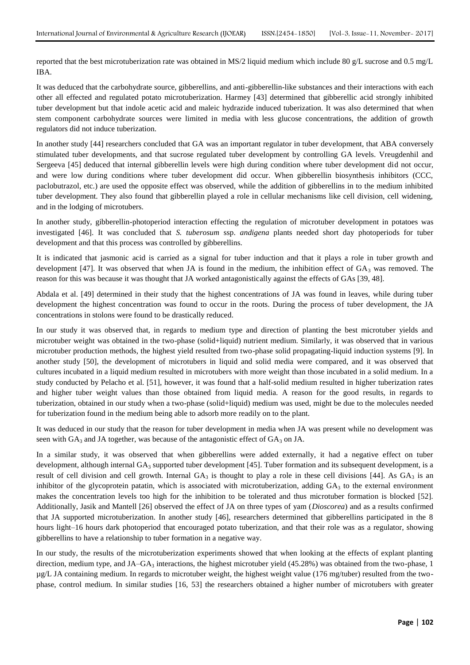reported that the best microtuberization rate was obtained in MS/2 liquid medium which include 80 g/L sucrose and 0.5 mg/L IBA.

It was deduced that the carbohydrate source, gibberellins, and anti-gibberellin-like substances and their interactions with each other all effected and regulated potato microtuberization. Harmey [43] determined that gibberellic acid strongly inhibited tuber development but that indole acetic acid and maleic hydrazide induced tuberization. It was also determined that when stem component carbohydrate sources were limited in media with less glucose concentrations, the addition of growth regulators did not induce tuberization.

In another study [44] researchers concluded that GA was an important regulator in tuber development, that ABA conversely stimulated tuber developments, and that sucrose regulated tuber development by controlling GA levels. Vreugdenhil and Sergeeva [45] deduced that internal gibberellin levels were high during condition where tuber development did not occur, and were low during conditions where tuber development did occur. When gibberellin biosynthesis inhibitors (CCC, paclobutrazol, etc.) are used the opposite effect was observed, while the addition of gibberellins in to the medium inhibited tuber development. They also found that gibberellin played a role in cellular mechanisms like cell division, cell widening, and in the lodging of microtubers.

In another study, gibberellin-photoperiod interaction effecting the regulation of microtuber development in potatoes was investigated [46]. It was concluded that *S. tuberosum* ssp. *andigena* plants needed short day photoperiods for tuber development and that this process was controlled by gibberellins.

It is indicated that jasmonic acid is carried as a signal for tuber induction and that it plays a role in tuber growth and development [47]. It was observed that when JA is found in the medium, the inhibition effect of  $GA_3$  was removed. The reason for this was because it was thought that JA worked antagonistically against the effects of GAs [39, 48].

Abdala et al. [49] determined in their study that the highest concentrations of JA was found in leaves, while during tuber development the highest concentration was found to occur in the roots. During the process of tuber development, the JA concentrations in stolons were found to be drastically reduced.

In our study it was observed that, in regards to medium type and direction of planting the best microtuber yields and microtuber weight was obtained in the two-phase (solid+liquid) nutrient medium. Similarly, it was observed that in various microtuber production methods, the highest yield resulted from two-phase solid propagating-liquid induction systems [9]. In another study [50], the development of microtubers in liquid and solid media were compared, and it was observed that cultures incubated in a liquid medium resulted in microtubers with more weight than those incubated in a solid medium. In a study conducted by Pelacho et al. [51], however, it was found that a half-solid medium resulted in higher tuberization rates and higher tuber weight values than those obtained from liquid media. A reason for the good results, in regards to tuberization, obtained in our study when a two-phase (solid+liquid) medium was used, might be due to the molecules needed for tuberization found in the medium being able to adsorb more readily on to the plant.

It was deduced in our study that the reason for tuber development in media when JA was present while no development was seen with  $GA_3$  and JA together, was because of the antagonistic effect of  $GA_3$  on JA.

In a similar study, it was observed that when gibberellins were added externally, it had a negative effect on tuber development, although internal GA<sub>3</sub> supported tuber development [45]. Tuber formation and its subsequent development, is a result of cell division and cell growth. Internal  $GA_3$  is thought to play a role in these cell divisions [44]. As  $GA_3$  is an inhibitor of the glycoprotein patatin, which is associated with microtuberization, adding  $GA_3$  to the external environment makes the concentration levels too high for the inhibition to be tolerated and thus microtuber formation is blocked [52]. Additionally, Jasik and Mantell [26] observed the effect of JA on three types of yam (*Dioscorea*) and as a results confirmed that JA supported microtuberization. In another study [46], researchers determined that gibberellins participated in the 8 hours light–16 hours dark photoperiod that encouraged potato tuberization, and that their role was as a regulator, showing gibberellins to have a relationship to tuber formation in a negative way.

In our study, the results of the microtuberization experiments showed that when looking at the effects of explant planting direction, medium type, and  $JA-GA<sub>3</sub>$  interactions, the highest microtuber yield (45.28%) was obtained from the two-phase, 1 µg/L JA containing medium. In regards to microtuber weight, the highest weight value (176 mg/tuber) resulted from the twophase, control medium. In similar studies [16, 53] the researchers obtained a higher number of microtubers with greater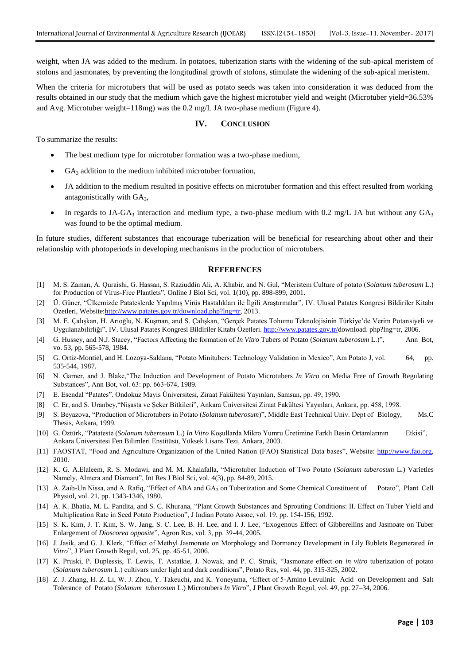weight, when JA was added to the medium. In potatoes, tuberization starts with the widening of the sub-apical meristem of stolons and jasmonates, by preventing the longitudinal growth of stolons, stimulate the widening of the sub-apical meristem.

When the criteria for microtubers that will be used as potato seeds was taken into consideration it was deduced from the results obtained in our study that the medium which gave the highest microtuber yield and weight (Microtuber yield=36.53% and Avg. Microtuber weight=118mg) was the 0.2 mg/L JA two-phase medium (Figure 4).

#### **IV. CONCLUSION**

To summarize the results:

- The best medium type for microtuber formation was a two-phase medium,
- $GA<sub>3</sub>$  addition to the medium inhibited microtuber formation,
- JA addition to the medium resulted in positive effects on microtuber formation and this effect resulted from working antagonistically with GA<sub>3</sub>,
- In regards to JA-GA<sub>3</sub> interaction and medium type, a two-phase medium with 0.2 mg/L JA but without any GA<sub>3</sub> was found to be the optimal medium.

In future studies, different substances that encourage tuberization will be beneficial for researching about other and their relationship with photoperiods in developing mechanisms in the production of microtubers.

#### **REFERENCES**

- [1] M. S. Zaman, A. Quraishi, G. Hassan, S. Raziuddin Ali, A. Khabir, and N. Gul, "Meristem Culture of potato (*Solanum tuberosum* L.) for Production of Virus-Free Plantlets", Online J Biol Sci, vol. 1(10), pp. 898-899, 2001.
- [2] Ü. Güner, "Ülkemizde Patateslerde Yapılmış Virüs Hastalıkları ile İlgili Araştırmalar", IV. Ulusal Patates Kongresi Bildiriler Kitabı Özetleri, Website[:http://www.patates.gov.tr/download.php?lng=tr,](http://www.patates.gov.tr/download.php?lng=tr) 2013.
- M. E. Çalışkan, H. Arıoğlu, N. Kuşman, and S. Çalışkan, "Gerçek Patates Tohumu Teknolojisinin Türkiye'de Verim Potansiyeli ve Uygulanabilirliği", IV. Ulusal Patates Kongresi Bildiriler Kitabı Özetleri. [http://www.patates.gov.tr/d](http://www.patates.gov.tr/)ownload. php?lng=tr, 2006.
- [4] G. Hussey, and N.J. Stacey, "Factors Affecting the formation of *In Vitro* Tubers of Potato (*Solanum tuberosum* L.)", Ann Bot, vo. 53, pp. 565-578, 1984.
- [5] G. Ortiz-Montiel, and H. Lozoya-Saldana, "Potato Minitubers: Technology Validation in Mexico", Am Potato J, vol. 64, pp. 535-544, 1987.
- [6] N. Garner, and J. Blake,"The Induction and Development of Potato Microtubers *In Vitro* on Media Free of Growth Regulating Substances", Ann Bot, vol. 63: pp. 663-674, 1989.
- [7] E. Esendal "Patates". Ondokuz Mayıs Üniversitesi, Ziraat Fakültesi Yayınları, Samsun, pp. 49, 1990.
- [8] C. Er, and S. Uranbey,"NiĢasta ve ġeker Bitkileri", Ankara Üniversitesi Ziraat Fakültesi Yayınları, Ankara, pp. 458, 1998.
- [9] S. Beyazova, "Production of Microtubers in Potato (*Solanum tuberosum*)", Middle East Technical Univ. Dept of Biology, Ms.C Thesis, Ankara, 1999.
- [10] G. Öztürk, "Patateste (*Solanum tuberosum* L.) *In Vitro* KoĢullarda Mikro Yumru Üretimine Farklı Besin Ortamlarının Etkisi", Ankara Üniversitesi Fen Bilimleri Enstitüsü, Yüksek Lisans Tezi, Ankara, 2003.
- [11] FAOSTAT, "Food and Agriculture Organization of the United Nation (FAO) Statistical Data bases", Website: [http://www.fao.org,](http://www.fao.org/) 2010.
- [12] K. G. A.Elaleem, R. S. Modawi, and M. M. Khalafalla, "Microtuber Induction of Two Potato (*Solanum tuberosum* L.) Varieties Namely, Almera and Diamant", Int Res J Biol Sci, vol. 4(3), pp. 84-89, 2015.
- [13] A. Zaib-Un Nissa, and A. Rafiq, "Effect of ABA and GA<sub>3</sub> on Tuberization and Some Chemical Constituent of Potato", Plant Cell Physiol, vol. 21, pp. 1343-1346, 1980.
- [14] A. K. Bhatia, M. L. Pandita, and S. C. Khurana, "Plant Growth Substances and Sprouting Conditions: II. Effect on Tuber Yield and Multiplication Rate in Seed Potato Production", J Indian Potato Assoc, vol. 19, pp. 154-156, 1992.
- [15] S. K. Kim, J. T. Kim, S. W. Jang, S. C. Lee, B. H. Lee, and I. J. Lee, "Exogenous Effect of Gibberellins and Jasmoate on Tuber Enlargement of *Dioscorea opposite*", Agron Res, vol. 3, pp. 39-44, 2005.
- [16] J. Jasik, and G. J. Klerk, "Effect of Methyl Jasmonate on Morphology and Dormancy Development in Lily Bublets Regenerated *In Vitro*", J Plant Growth Regul, vol. 25, pp. 45-51, 2006.
- [17] K. Pruski, P. Duplessis, T. Lewis, T. Astatkie, J. Nowak, and P. C. Struik, "Jasmonate effect on *in vitro* tuberization of potato (*Solanum tuberosum* L.) cultivars under light and dark conditions", Potato Res, vol. 44, pp. 315-325, 2002.
- [18] Z. J. Zhang, H. Z. Li, W. J. Zhou, Y. Takeuchi, and K. Yoneyama, "Effect of 5-Amino Levulinic Acid on Development and Salt Tolerance of Potato (*Solanum tuberosum* L.) Microtubers *In Vitro*", J Plant Growth Regul, vol. 49, pp. 27–34, 2006.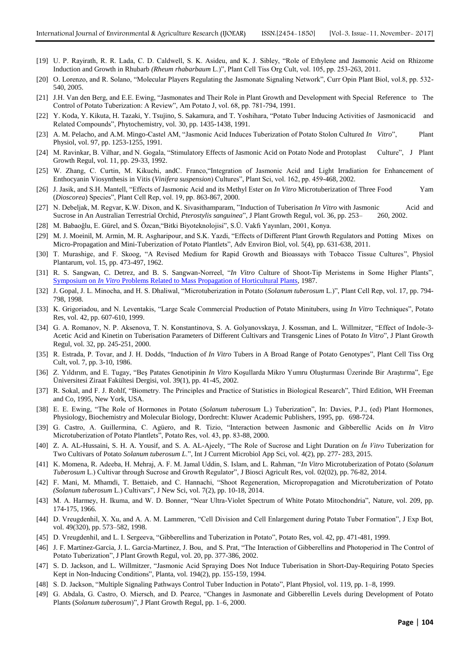- [19] U. P. Rayirath, R. R. Lada, C. D. Caldwell, S. K. Asideu, and K. J. Sibley, "Role of Ethylene and Jasmonic Acid on Rhizome Induction and Growth in Rhubarb *(Rheum rhabarbaum* L.)", Plant Cell Tiss Org Cult, vol. 105, pp. 253-263, 2011.
- [20] O. Lorenzo, and R. Solano, "Molecular Players Regulating the Jasmonate Signaling Network", Curr Opin Plant Biol, vol.8, pp. 532- 540, 2005.
- [21] J.H. Van den Berg, and E.E. Ewing, "Jasmonates and Their Role in Plant Growth and Development with Special Reference to The Control of Potato Tuberization: A Review", Am Potato J, vol. 68, pp. 781-794, 1991.
- [22] Y. Koda, Y. Kikuta, H. Tazaki, Y. Tsujino, S. Sakamura, and T. Yoshihara, "Potato Tuber Inducing Activities of Jasmonicacid and Related Compounds", Phytochemistry, vol. 30, pp. 1435-1438, 1991.
- [23] A. M. Pelacho, and A.M. Mingo-Castel AM, "Jasmonic Acid Induces Tuberization of Potato Stolon Cultured *In Vitro*", Plant Physiol, vol. 97, pp. 1253-1255, 1991.
- [24] M. Ravinkar, B. Vilhar, and N. Gogala, "Stimulatory Effects of Jasmonic Acid on Potato Node and Protoplast Culture", J Plant Growth Regul, vol. 11, pp. 29-33, 1992.
- [25] W. Zhang, C. Curtin, M. Kikuchi, andC. Franco,"Integration of Jasmonic Acid and Light Irradiation for Enhancement of Enthocyanin Viosynthesis in Vitis (*Vinifera suspension*) Cultures", Plant Sci, vol. 162, pp. 459-468, 2002.
- [26] J. Jasik, and S.H. Mantell, "Effects of Jasmonic Acid and its Methyl Ester on *In Vitro* Microtuberization of Three Food Yam (*Dioscorea*) Species", Plant Cell Rep, vol. 19, pp. 863-867, 2000.
- [27] N. Debeljak, M. Regvar, K.W. Dixon, and K. Sivasithamparam, "Induction of Tuberisation *In Vitro* with Jasmonic Acid and Sucrose in An Australian Terrestrial Orchid, *Pterostylis sanguinea*", J Plant Growth Regul, vol. 36, pp. 253– 260, 2002.
- [28] M. Babaoğlu, E. Gürel, and S. Özcan,"Bitki Biyoteknolojisi", S.Ü. Vakfı Yayınları, 2001, Konya.
- [29] M. J. Moeinil, M. Armin, M. R. Asgharipour, and S.K. Yazdi, "Effects of Different Plant Growth Regulators and Potting Mixes on Micro-Propagation and Mini-Tuberization of Potato Plantlets", Adv Environ Biol, vol. 5(4), pp. 631-638, 2011.
- [30] T. Murashige, and F. Skoog, "A Revised Medium for Rapid Growth and Bioassays with Tobacco Tissue Cultures", Physiol Plantarum, vol. 15, pp. 473-497, 1962.
- [31] R. S. Sangwan, C. Detrez, and B. S. Sangwan-Norreel, "*In Vitro* Culture of Shoot-Tip Meristems in Some Higher Plants", Symposium on *In Vitro* [Problems Related to Mass Propagation of Horticultural Plants,](http://www.actahort.org/books/212/index.htm) 1987.
- [32] J. Gopal, J. L. Minocha, and H. S. Dhaliwal, "Microtuberization in Potato (*Solanum tuberosum* L.)", Plant Cell Rep, vol. 17, pp. 794- 798, 1998.
- [33] K. Grigoriadou, and N. Leventakis, "Large Scale Commercial Production of Potato Minitubers, using *In Vitro* Techniques", Potato Res, vol. 42, pp. 607-610, 1999.
- [34] G. A. Romanov, N. P. Aksenova, T. N. Konstantinova, S. A. Golyanovskaya, J. Kossman, and L. Willmitzer, "Effect of Indole-3- Acetic Acid and Kinetin on Tuberisation Parameters of Different Cultivars and Transgenic Lines of Potato *In Vitro*", J Plant Growth Regul, vol. 32, pp. 245-251, 2000.
- [35] R. Estrada, P. Tovar, and J. H. Dodds, "Induction of *In Vitro* Tubers in A Broad Range of Potato Genotypes", Plant Cell Tiss Org Cult, vol. 7, pp. 3-10, 1986.
- [36] Z. Yıldırım, and E. Tugay, "BeĢ Patates Genotipinin *In Vitro* KoĢullarda Mikro Yumru OluĢturması Üzerinde Bir AraĢtırma", Ege Üniversitesi Ziraat Fakültesi Dergisi, vol. 39(1), pp. 41-45, 2002.
- [37] R. Sokal, and F. J. Rohlf, "Biometry. The Principles and Practice of Statistics in Biological Research", Third Edition, WH Freeman and Co, 1995, New York, USA.
- [38] E. E. Ewing, "The Role of Hormones in Potato (*Solanum tuberosum* L.) Tuberization", In: Davies, P.J., (ed) Plant Hormones, Physiology, Biochemistry and Molecular Biology, Dordrecht: Kluwer Academic Publishers, 1995, pp. 698-724.
- [39] G. Castro, A. Guillermina, C. Agüero, and R. Tizio, "Interaction between Jasmonic and Gibberellic Acids on *In Vitro* Microtuberization of Potato Plantlets", Potato Res, vol. 43, pp. 83-88, 2000.
- [40] Z. A. AL-Hussaini, S. H. A. Yousif, and S. A. AL-Ajeely, "The Role of Sucrose and Light Duration on *İn Vitro* Tuberization for Two Cultivars of Potato *Solanum tuberosum L*.", Int J Current Microbiol App Sci, vol. 4(2), pp. 277- 283, 2015.
- [41] K. Momena, R. Adeeba, H. Mehraj, A. F. M. Jamal Uddin, S. Islam, and L. Rahman, "*In Vitro* Microtuberization of Potato (*Solanum Tuberosum* L.) Cultivar through Sucrose and Growth Regulator", J Biosci Agricult Res, vol. 02(02), pp. 76-82, 2014.
- [42] F. Mani, M. Mhamdi, T. Bettaieb, and C. Hannachi, "Shoot Regeneration, Micropropagation and Microtuberization of Potato *(Solanum tuberosum* L.) Cultivars", J New Sci, vol. 7(2), pp. 10-18, 2014.
- [43] M. A. Harmey, H. Ikuma, and W. D. Bonner, "Near Ultra-Violet Spectrum of White Potato Mitochondria", Nature, vol. 209, pp. 174-175, 1966.
- [44] D. Vreugdenhil, X. Xu, and A. A. M. Lammeren, "Cell Division and Cell Enlargement during Potato Tuber Formation", J Exp Bot, vol. 49(320), pp. 573–582, 1998.
- [45] D. Vreugdenhil, and L. I. Sergeeva, "Gibberellins and Tuberization in Potato", Potato Res, vol. 42, pp. 471-481, 1999.
- [46] J. F. Martinez-Garcia, J. L. Garcia-Martinez, J. Bou, and S. Prat, "The Interaction of Gibberellins and Photoperiod in The Control of Potato Tuberization", J Plant Growth Regul, vol. 20, pp. 377-386, 2002.
- [47] S. D. [Jackson,](http://link.springer.com/search?facet-author=%22Stephen+D.+Jackson%22) and L. [Willmitzer,](http://link.springer.com/search?facet-author=%22Lothar+Willmitzer%22) "Jasmonic Acid Spraying Does Not Induce Tuberisation in Short-Day-Requiring Potato Species Kept in Non-Inducing Conditions", [Planta,](http://link.springer.com/journal/425) vol. 194(2), pp. 155-159, 1994.
- [48] S. D. Jackson, "Multiple Signaling Pathways Control Tuber Induction in Potato", Plant Physiol, vol. 119, pp. 1–8, 1999.
- [49] G. Abdala, G. Castro, O. Miersch, and D. Pearce, "Changes in Jasmonate and Gibberellin Levels during Development of Potato Plants (*Solanum tuberosum*)", J Plant Growth Regul, pp. 1–6, 2000.